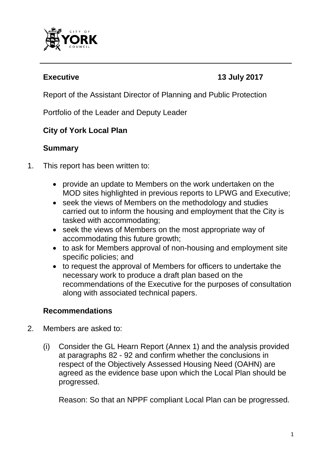

# **Executive 13 July 2017**

Report of the Assistant Director of Planning and Public Protection

Portfolio of the Leader and Deputy Leader

# **City of York Local Plan**

# **Summary**

- 1. This report has been written to:
	- provide an update to Members on the work undertaken on the MOD sites highlighted in previous reports to LPWG and Executive;
	- seek the views of Members on the methodology and studies carried out to inform the housing and employment that the City is tasked with accommodating;
	- seek the views of Members on the most appropriate way of accommodating this future growth;
	- to ask for Members approval of non-housing and employment site specific policies; and
	- to request the approval of Members for officers to undertake the necessary work to produce a draft plan based on the recommendations of the Executive for the purposes of consultation along with associated technical papers.

# **Recommendations**

- 2. Members are asked to:
	- (i) Consider the GL Hearn Report (Annex 1) and the analysis provided at paragraphs 82 - 92 and confirm whether the conclusions in respect of the Objectively Assessed Housing Need (OAHN) are agreed as the evidence base upon which the Local Plan should be progressed.

Reason: So that an NPPF compliant Local Plan can be progressed.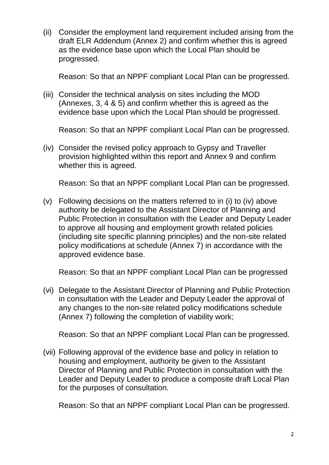(ii) Consider the employment land requirement included arising from the draft ELR Addendum (Annex 2) and confirm whether this is agreed as the evidence base upon which the Local Plan should be progressed.

Reason: So that an NPPF compliant Local Plan can be progressed.

(iii) Consider the technical analysis on sites including the MOD (Annexes, 3, 4 & 5) and confirm whether this is agreed as the evidence base upon which the Local Plan should be progressed.

Reason: So that an NPPF compliant Local Plan can be progressed.

(iv) Consider the revised policy approach to Gypsy and Traveller provision highlighted within this report and Annex 9 and confirm whether this is agreed.

Reason: So that an NPPF compliant Local Plan can be progressed.

(v) Following decisions on the matters referred to in (i) to (iv) above authority be delegated to the Assistant Director of Planning and Public Protection in consultation with the Leader and Deputy Leader to approve all housing and employment growth related policies (including site specific planning principles) and the non-site related policy modifications at schedule (Annex 7) in accordance with the approved evidence base.

Reason: So that an NPPF compliant Local Plan can be progressed

(vi) Delegate to the Assistant Director of Planning and Public Protection in consultation with the Leader and Deputy Leader the approval of any changes to the non-site related policy modifications schedule (Annex 7) following the completion of viability work;

Reason: So that an NPPF compliant Local Plan can be progressed.

(vii) Following approval of the evidence base and policy in relation to housing and employment, authority be given to the Assistant Director of Planning and Public Protection in consultation with the Leader and Deputy Leader to produce a composite draft Local Plan for the purposes of consultation.

Reason: So that an NPPF compliant Local Plan can be progressed.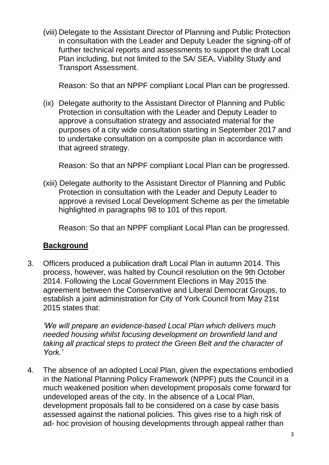(viii) Delegate to the Assistant Director of Planning and Public Protection in consultation with the Leader and Deputy Leader the signing-off of further technical reports and assessments to support the draft Local Plan including, but not limited to the SA/ SEA, Viability Study and Transport Assessment.

Reason: So that an NPPF compliant Local Plan can be progressed.

(ix) Delegate authority to the Assistant Director of Planning and Public Protection in consultation with the Leader and Deputy Leader to approve a consultation strategy and associated material for the purposes of a city wide consultation starting in September 2017 and to undertake consultation on a composite plan in accordance with that agreed strategy.

Reason: So that an NPPF compliant Local Plan can be progressed.

(xiii) Delegate authority to the Assistant Director of Planning and Public Protection in consultation with the Leader and Deputy Leader to approve a revised Local Development Scheme as per the timetable highlighted in paragraphs 98 to 101 of this report.

Reason: So that an NPPF compliant Local Plan can be progressed.

#### **Background**

3. Officers produced a publication draft Local Plan in autumn 2014. This process, however, was halted by Council resolution on the 9th October 2014. Following the Local Government Elections in May 2015 the agreement between the Conservative and Liberal Democrat Groups, to establish a joint administration for City of York Council from May 21st 2015 states that:

*'We will prepare an evidence-based Local Plan which delivers much needed housing whilst focusing development on brownfield land and taking all practical steps to protect the Green Belt and the character of York.'*

4. The absence of an adopted Local Plan, given the expectations embodied in the National Planning Policy Framework (NPPF) puts the Council in a much weakened position when development proposals come forward for undeveloped areas of the city. In the absence of a Local Plan, development proposals fall to be considered on a case by case basis assessed against the national policies. This gives rise to a high risk of ad- hoc provision of housing developments through appeal rather than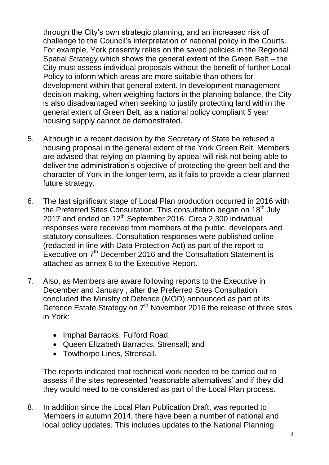through the City's own strategic planning, and an increased risk of challenge to the Council's interpretation of national policy in the Courts. For example, York presently relies on the saved policies in the Regional Spatial Strategy which shows the general extent of the Green Belt – the City must assess individual proposals without the benefit of further Local Policy to inform which areas are more suitable than others for development within that general extent. In development management decision making, when weighing factors in the planning balance, the City is also disadvantaged when seeking to justify protecting land within the general extent of Green Belt, as a national policy compliant 5 year housing supply cannot be demonstrated.

- 5. Although in a recent decision by the Secretary of State he refused a housing proposal in the general extent of the York Green Belt, Members are advised that relying on planning by appeal will risk not being able to deliver the administration's objective of protecting the green belt and the character of York in the longer term, as it fails to provide a clear planned future strategy.
- 6. The last significant stage of Local Plan production occurred in 2016 with the Preferred Sites Consultation. This consultation began on 18<sup>th</sup> July 2017 and ended on  $12^{th}$  September 2016. Circa 2,300 individual responses were received from members of the public, developers and statutory consultees. Consultation responses were published online (redacted in line with Data Protection Act) as part of the report to Executive on 7<sup>th</sup> December 2016 and the Consultation Statement is attached as annex 6 to the Executive Report.
- 7. Also, as Members are aware following reports to the Executive in December and January , after the Preferred Sites Consultation concluded the Ministry of Defence (MOD) announced as part of its Defence Estate Strategy on 7<sup>th</sup> November 2016 the release of three sites in York:
	- Imphal Barracks, Fulford Road:
	- Queen Elizabeth Barr*a*cks, Strensall; and
	- Towthorpe Lines, Strensall.

The reports indicated that technical work needed to be carried out to assess if the sites represented 'reasonable alternatives' and if they did they would need to be considered as part of the Local Plan process.

8. In addition since the Local Plan Publication Draft, was reported to Members in autumn 2014, there have been a number of national and local policy updates. This includes updates to the National Planning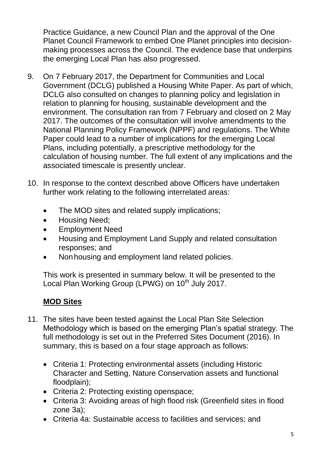Practice Guidance, a new Council Plan and the approval of the One Planet Council Framework to embed One Planet principles into decisionmaking processes across the Council. The evidence base that underpins the emerging Local Plan has also progressed.

- 9. On 7 February 2017, the Department for Communities and Local Government (DCLG) published a Housing White Paper. As part of which, DCLG also consulted on changes to planning policy and legislation in relation to planning for housing, sustainable development and the environment. The consultation ran from 7 February and closed on 2 May 2017. The outcomes of the consultation will involve amendments to the National Planning Policy Framework (NPPF) and regulations. The White Paper could lead to a number of implications for the emerging Local Plans, including potentially, a prescriptive methodology for the calculation of housing number. The full extent of any implications and the associated timescale is presently unclear.
- 10. In response to the context described above Officers have undertaken further work relating to the following interrelated areas:
	- The MOD sites and related supply implications;
	- Housing Need;
	- Employment Need
	- Housing and Employment Land Supply and related consultation responses; and
	- Nonhousing and employment land related policies.

This work is presented in summary below. It will be presented to the Local Plan Working Group (LPWG) on 10<sup>th</sup> July 2017.

# **MOD Sites**

- 11. The sites have been tested against the Local Plan Site Selection Methodology which is based on the emerging Plan's spatial strategy. The full methodology is set out in the Preferred Sites Document (2016). In summary, this is based on a four stage approach as follows:
	- Criteria 1: Protecting environmental assets (including Historic Character and Setting, Nature Conservation assets and functional floodplain);
	- Criteria 2: Protecting existing openspace;
	- Criteria 3: Avoiding areas of high flood risk (Greenfield sites in flood zone 3a);
	- Criteria 4a: Sustainable access to facilities and services; and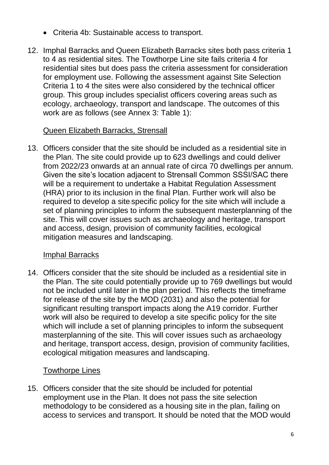- Criteria 4b: Sustainable access to transport.
- 12. Imphal Barracks and Queen Elizabeth Barracks sites both pass criteria 1 to 4 as residential sites. The Towthorpe Line site fails criteria 4 for residential sites but does pass the criteria assessment for consideration for employment use. Following the assessment against Site Selection Criteria 1 to 4 the sites were also considered by the technical officer group. This group includes specialist officers covering areas such as ecology, archaeology, transport and landscape. The outcomes of this work are as follows (see Annex 3: Table 1):

#### Queen Elizabeth Barracks, Strensall

13. Officers consider that the site should be included as a residential site in the Plan. The site could provide up to 623 dwellings and could deliver from 2022/23 onwards at an annual rate of circa 70 dwellings per annum. Given the site's location adjacent to Strensall Common SSSI/SAC there will be a requirement to undertake a Habitat Regulation Assessment (HRA) prior to its inclusion in the final Plan. Further work will also be required to develop a site-specific policy for the site which will include a set of planning principles to inform the subsequent masterplanning of the site. This will cover issues such as archaeology and heritage, transport and access, design, provision of community facilities, ecological mitigation measures and landscaping.

# Imphal Barracks

14. Officers consider that the site should be included as a residential site in the Plan. The site could potentially provide up to 769 dwellings but would not be included until later in the plan period. This reflects the timeframe for release of the site by the MOD (2031) and also the potential for significant resulting transport impacts along the A19 corridor. Further work will also be required to develop a site specific policy for the site which will include a set of planning principles to inform the subsequent masterplanning of the site. This will cover issues such as archaeology and heritage, transport access, design, provision of community facilities, ecological mitigation measures and landscaping.

# Towthorpe Lines

15. Officers consider that the site should be included for potential employment use in the Plan. It does not pass the site selection methodology to be considered as a housing site in the plan, failing on access to services and transport. It should be noted that the MOD would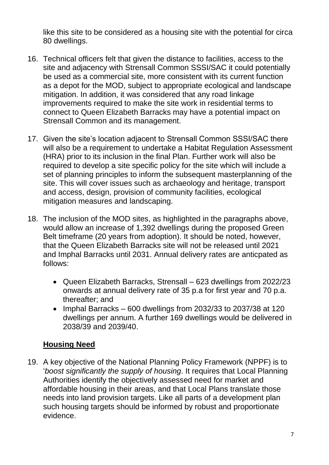like this site to be considered as a housing site with the potential for circa 80 dwellings.

- 16. Technical officers felt that given the distance to facilities, access to the site and adjacency with Strensall Common SSSI/SAC it could potentially be used as a commercial site, more consistent with its current function as a depot for the MOD, subject to appropriate ecological and landscape mitigation. In addition, it was considered that any road linkage improvements required to make the site work in residential terms to connect to Queen Elizabeth Barracks may have a potential impact on Strensall Common and its management.
- 17. Given the site's location adjacent to Strensall Common SSSI/SAC there will also be a requirement to undertake a Habitat Regulation Assessment (HRA) prior to its inclusion in the final Plan. Further work will also be required to develop a site specific policy for the site which will include a set of planning principles to inform the subsequent masterplanning of the site. This will cover issues such as archaeology and heritage, transport and access, design, provision of community facilities, ecological mitigation measures and landscaping.
- 18. The inclusion of the MOD sites, as highlighted in the paragraphs above, would allow an increase of 1,392 dwellings during the proposed Green Belt timeframe (20 years from adoption). It should be noted, however, that the Queen Elizabeth Barracks site will not be released until 2021 and Imphal Barracks until 2031. Annual delivery rates are anticpated as follows:
	- Queen Elizabeth Barracks, Strensall 623 dwellings from 2022/23 onwards at annual delivery rate of 35 p.a for first year and 70 p.a. thereafter; and
	- Imphal Barracks 600 dwellings from 2032/33 to 2037/38 at 120 dwellings per annum. A further 169 dwellings would be delivered in 2038/39 and 2039/40.

# **Housing Need**

19. A key objective of the National Planning Policy Framework (NPPF) is to '*boost significantly the supply of housing*. It requires that Local Planning Authorities identify the objectively assessed need for market and affordable housing in their areas, and that Local Plans translate those needs into land provision targets. Like all parts of a development plan such housing targets should be informed by robust and proportionate evidence.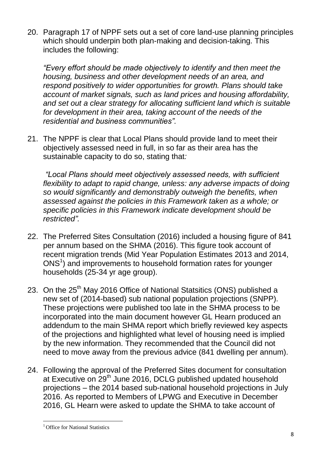20. Paragraph 17 of NPPF sets out a set of core land-use planning principles which should underpin both plan-making and decision-taking. This includes the following:

*"Every effort should be made objectively to identify and then meet the housing, business and other development needs of an area, and respond positively to wider opportunities for growth. Plans should take account of market signals, such as land prices and housing affordability, and set out a clear strategy for allocating sufficient land which is suitable*  for development in their area, taking account of the needs of the *residential and business communities".*

21. The NPPF is clear that Local Plans should provide land to meet their objectively assessed need in full, in so far as their area has the sustainable capacity to do so, stating that*:*

*"Local Plans should meet objectively assessed needs, with sufficient flexibility to adapt to rapid change, unless: any adverse impacts of doing so would significantly and demonstrably outweigh the benefits, when assessed against the policies in this Framework taken as a whole; or specific policies in this Framework indicate development should be restricted".*

- 22. The Preferred Sites Consultation (2016) included a housing figure of 841 per annum based on the SHMA (2016). This figure took account of recent migration trends (Mid Year Population Estimates 2013 and 2014, ONS<sup>1</sup>) and improvements to household formation rates for younger households (25-34 yr age group).
- 23. On the 25<sup>th</sup> May 2016 Office of National Statsitics (ONS) published a new set of (2014-based) sub national population projections (SNPP). These projections were published too late in the SHMA process to be incorporated into the main document however GL Hearn produced an addendum to the main SHMA report which briefly reviewed key aspects of the projections and highlighted what level of housing need is implied by the new information. They recommended that the Council did not need to move away from the previous advice (841 dwelling per annum).
- 24. Following the approval of the Preferred Sites document for consultation at Executive on 29<sup>th</sup> June 2016, DCLG published updated household projections – the 2014 based sub-national household projections in July 2016. As reported to Members of LPWG and Executive in December 2016, GL Hearn were asked to update the SHMA to take account of

 $\overline{a}$ 

<sup>&</sup>lt;sup>1</sup> Office for National Statistics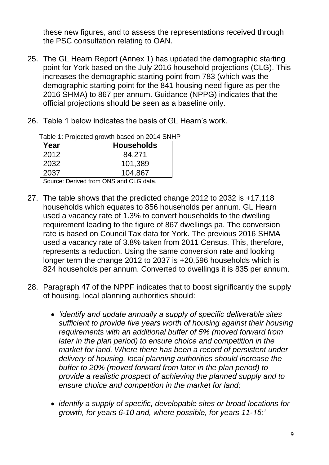these new figures, and to assess the representations received through the PSC consultation relating to OAN.

- 25. The GL Hearn Report (Annex 1) has updated the demographic starting point for York based on the July 2016 household projections (CLG). This increases the demographic starting point from 783 (which was the demographic starting point for the 841 housing need figure as per the 2016 SHMA) to 867 per annum. Guidance (NPPG) indicates that the official projections should be seen as a baseline only.
- 26. Table 1 below indicates the basis of GL Hearn's work.

|                   | $\alpha$ ablow the reposition specific basic of $\alpha$ in $\alpha$ in $\alpha$ |
|-------------------|----------------------------------------------------------------------------------|
| Year              | <b>Households</b>                                                                |
| 2012              | 84,271                                                                           |
| 2032              | 101,389                                                                          |
| 2037              | 104,867                                                                          |
| $\cdot$<br>$\sim$ | <b>ALIA</b><br>$\sim$                                                            |

Table 1: Projected growth based on 2014 SNHP

Source: Derived from ONS and CLG data.

- 27. The table shows that the predicted change 2012 to 2032 is +17,118 households which equates to 856 households per annum. GL Hearn used a vacancy rate of 1.3% to convert households to the dwelling requirement leading to the figure of 867 dwellings pa. The conversion rate is based on Council Tax data for York. The previous 2016 SHMA used a vacancy rate of 3.8% taken from 2011 Census. This, therefore, represents a reduction. Using the same conversion rate and looking longer term the change 2012 to 2037 is +20,596 households which is 824 households per annum. Converted to dwellings it is 835 per annum.
- 28. Paragraph 47 of the NPPF indicates that to boost significantly the supply of housing, local planning authorities should:
	- *'identify and update annually a supply of specific deliverable sites sufficient to provide five years worth of housing against their housing requirements with an additional buffer of 5% (moved forward from later in the plan period) to ensure choice and competition in the market for land. Where there has been a record of persistent under delivery of housing, local planning authorities should increase the buffer to 20% (moved forward from later in the plan period) to provide a realistic prospect of achieving the planned supply and to ensure choice and competition in the market for land;*
	- *identify a supply of specific, developable sites or broad locations for growth, for years 6-10 and, where possible, for years 11-15;'*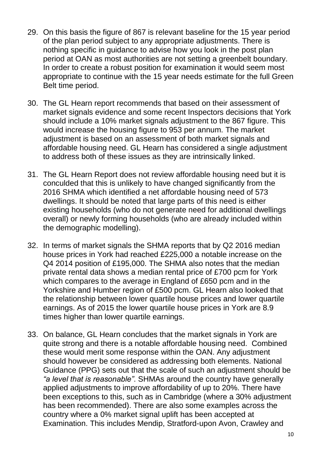- 29. On this basis the figure of 867 is relevant baseline for the 15 year period of the plan period subject to any appropriate adjustments. There is nothing specific in guidance to advise how you look in the post plan period at OAN as most authorities are not setting a greenbelt boundary. In order to create a robust position for examination it would seem most appropriate to continue with the 15 year needs estimate for the full Green Belt time period.
- 30. The GL Hearn report recommends that based on their assessment of market signals evidence and some recent Inspectors decisions that York should include a 10% market signals adjustment to the 867 figure. This would increase the housing figure to 953 per annum. The market adjustment is based on an assessment of both market signals and affordable housing need. GL Hearn has considered a single adjustment to address both of these issues as they are intrinsically linked.
- 31. The GL Hearn Report does not review affordable housing need but it is conculded that this is unlikely to have changed significantly from the 2016 SHMA which identified a net affordable housing need of 573 dwellings. It should be noted that large parts of this need is either existing households (who do not generate need for additional dwellings overall) or newly forming households (who are already included within the demographic modelling).
- 32. In terms of market signals the SHMA reports that by Q2 2016 median house prices in York had reached £225,000 a notable increase on the Q4 2014 position of £195,000. The SHMA also notes that the median private rental data shows a median rental price of £700 pcm for York which compares to the average in England of £650 pcm and in the Yorkshire and Humber region of £500 pcm. GL Hearn also looked that the relationship between lower quartile house prices and lower quartile earnings. As of 2015 the lower quartile house prices in York are 8.9 times higher than lower quartile earnings.
- 33. On balance, GL Hearn concludes that the market signals in York are quite strong and there is a notable affordable housing need. Combined these would merit some response within the OAN. Any adjustment should however be considered as addressing both elements. National Guidance (PPG) sets out that the scale of such an adjustment should be *"a level that is reasonable"*. SHMAs around the country have generally applied adjustments to improve affordability of up to 20%. There have been exceptions to this, such as in Cambridge (where a 30% adjustment has been recommended). There are also some examples across the country where a 0% market signal uplift has been accepted at Examination. This includes Mendip, Stratford-upon Avon, Crawley and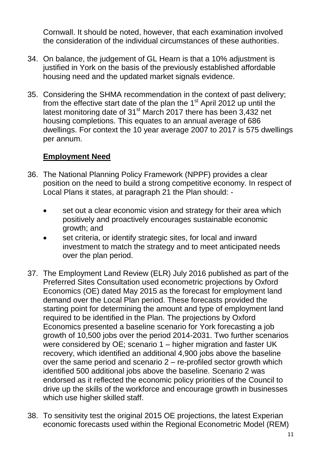Cornwall. It should be noted, however, that each examination involved the consideration of the individual circumstances of these authorities.

- 34. On balance, the judgement of GL Hearn is that a 10% adjustment is justified in York on the basis of the previously established affordable housing need and the updated market signals evidence.
- 35. Considering the SHMA recommendation in the context of past delivery; from the effective start date of the plan the 1<sup>st</sup> April 2012 up until the latest monitoring date of  $31<sup>st</sup>$  March 2017 there has been 3,432 net housing completions. This equates to an annual average of 686 dwellings. For context the 10 year average 2007 to 2017 is 575 dwellings per annum.

# **Employment Need**

- 36. The National Planning Policy Framework (NPPF) provides a clear position on the need to build a strong competitive economy. In respect of Local Plans it states, at paragraph 21 the Plan should: -
	- set out a clear economic vision and strategy for their area which positively and proactively encourages sustainable economic growth; and
	- set criteria, or identify strategic sites, for local and inward investment to match the strategy and to meet anticipated needs over the plan period.
- 37. The Employment Land Review (ELR) July 2016 published as part of the Preferred Sites Consultation used econometric projections by Oxford Economics (OE) dated May 2015 as the forecast for employment land demand over the Local Plan period. These forecasts provided the starting point for determining the amount and type of employment land required to be identified in the Plan. The projections by Oxford Economics presented a baseline scenario for York forecasting a job growth of 10,500 jobs over the period 2014-2031. Two further scenarios were considered by OE; scenario 1 – higher migration and faster UK recovery, which identified an additional 4,900 jobs above the baseline over the same period and scenario 2 – re-profiled sector growth which identified 500 additional jobs above the baseline. Scenario 2 was endorsed as it reflected the economic policy priorities of the Council to drive up the skills of the workforce and encourage growth in businesses which use higher skilled staff.
- 38. To sensitivity test the original 2015 OE projections, the latest Experian economic forecasts used within the Regional Econometric Model (REM)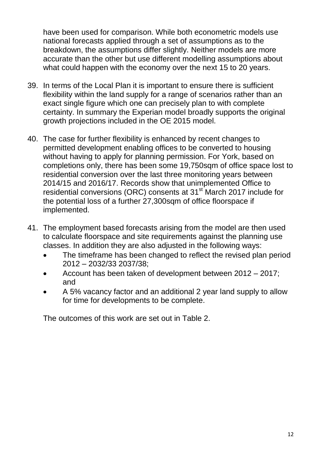have been used for comparison. While both econometric models use national forecasts applied through a set of assumptions as to the breakdown, the assumptions differ slightly. Neither models are more accurate than the other but use different modelling assumptions about what could happen with the economy over the next 15 to 20 years.

- 39. In terms of the Local Plan it is important to ensure there is sufficient flexibility within the land supply for a range of scenarios rather than an exact single figure which one can precisely plan to with complete certainty. In summary the Experian model broadly supports the original growth projections included in the OE 2015 model.
- 40. The case for further flexibility is enhanced by recent changes to permitted development enabling offices to be converted to housing without having to apply for planning permission. For York, based on completions only, there has been some 19,750sqm of office space lost to residential conversion over the last three monitoring years between 2014/15 and 2016/17. Records show that unimplemented Office to residential conversions (ORC) consents at 31<sup>st</sup> March 2017 include for the potential loss of a further 27,300sqm of office floorspace if implemented.
- 41. The employment based forecasts arising from the model are then used to calculate floorspace and site requirements against the planning use classes. In addition they are also adjusted in the following ways:
	- The timeframe has been changed to reflect the revised plan period 2012 – 2032/33 2037/38;
	- Account has been taken of development between 2012 2017; and
	- A 5% vacancy factor and an additional 2 year land supply to allow for time for developments to be complete.

The outcomes of this work are set out in Table 2.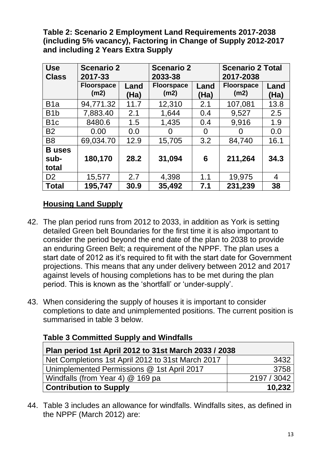**Table 2: Scenario 2 Employment Land Requirements 2017-2038 (including 5% vacancy), Factoring in Change of Supply 2012-2017 and including 2 Years Extra Supply**

| <b>Use</b><br><b>Class</b> | <b>Scenario 2</b><br>2017-33 |              | <b>Scenario 2</b><br>2033-38 |              | <b>Scenario 2 Total</b><br>2017-2038 |              |
|----------------------------|------------------------------|--------------|------------------------------|--------------|--------------------------------------|--------------|
|                            | <b>Floorspace</b><br>(m2)    | Land<br>(Ha) | <b>Floorspace</b><br>(m2)    | Land<br>(Ha) | <b>Floorspace</b><br>(m2)            | Land<br>(Ha) |
| B <sub>1</sub> a           | 94,771.32                    | 11.7         | 12,310                       | 2.1          | 107,081                              | 13.8         |
| B <sub>1</sub> b           | 7,883.40                     | 2.1          | 1,644                        | 0.4          | 9,527                                | 2.5          |
| B <sub>1</sub> c           | 8480.6                       | 1.5          | 1,435                        | 0.4          | 9,916                                | 1.9          |
| <b>B2</b>                  | 0.00                         | 0.0          |                              | 0            | O                                    | 0.0          |
| B <sub>8</sub>             | 69,034.70                    | 12.9         | 15,705                       | 3.2          | 84,740                               | 16.1         |
| <b>B</b> uses              |                              |              |                              |              |                                      |              |
| sub-                       | 180,170                      | 28.2         | 31,094                       | 6            | 211,264                              | 34.3         |
| total                      |                              |              |                              |              |                                      |              |
| D <sub>2</sub>             | 15,577                       | 2.7          | 4,398                        | 1.1          | 19,975                               | 4            |
| <b>Total</b>               | 195,747                      | 30.9         | 35,492                       | 7.1          | 231,239                              | 38           |

# **Housing Land Supply**

- 42. The plan period runs from 2012 to 2033, in addition as York is setting detailed Green belt Boundaries for the first time it is also important to consider the period beyond the end date of the plan to 2038 to provide an enduring Green Belt; a requirement of the NPPF. The plan uses a start date of 2012 as it's required to fit with the start date for Government projections. This means that any under delivery between 2012 and 2017 against levels of housing completions has to be met during the plan period. This is known as the 'shortfall' or 'under-supply'.
- 43. When considering the supply of houses it is important to consider completions to date and unimplemented positions. The current position is summarised in table 3 below.

| <b>Table 3 Committed Supply and Windfalls</b> |  |
|-----------------------------------------------|--|
|-----------------------------------------------|--|

| Plan period 1st April 2012 to 31st March 2033 / 2038 |             |  |
|------------------------------------------------------|-------------|--|
| Net Completions 1st April 2012 to 31st March 2017    | 3432        |  |
| Unimplemented Permissions @ 1st April 2017           | 3758        |  |
| Windfalls (from Year 4) @ 169 pa                     | 2197 / 3042 |  |
| <b>Contribution to Supply</b>                        | 10.232      |  |

44. Table 3 includes an allowance for windfalls. Windfalls sites, as defined in the NPPF (March 2012) are: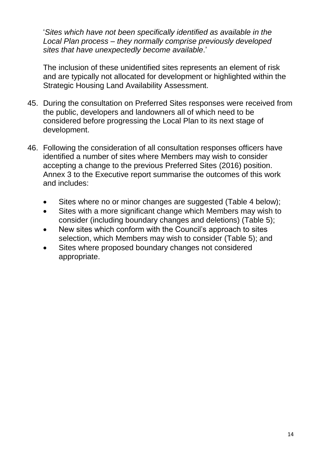'*Sites which have not been specifically identified as available in the Local Plan process – they normally comprise previously developed sites that have unexpectedly become available*.'

The inclusion of these unidentified sites represents an element of risk and are typically not allocated for development or highlighted within the Strategic Housing Land Availability Assessment.

- 45. During the consultation on Preferred Sites responses were received from the public, developers and landowners all of which need to be considered before progressing the Local Plan to its next stage of development.
- 46. Following the consideration of all consultation responses officers have identified a number of sites where Members may wish to consider accepting a change to the previous Preferred Sites (2016) position. Annex 3 to the Executive report summarise the outcomes of this work and includes:
	- Sites where no or minor changes are suggested (Table 4 below);
	- Sites with a more significant change which Members may wish to consider (including boundary changes and deletions) (Table 5);
	- New sites which conform with the Council's approach to sites selection, which Members may wish to consider (Table 5); and
	- Sites where proposed boundary changes not considered appropriate.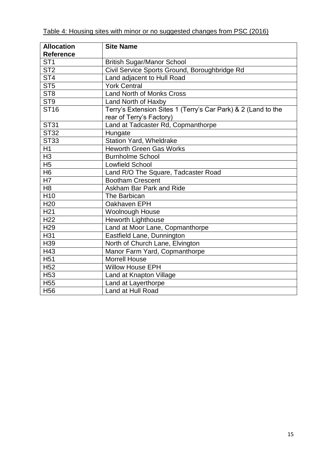|--|

| <b>Allocation</b>       | <b>Site Name</b>                                              |
|-------------------------|---------------------------------------------------------------|
| <b>Reference</b>        |                                                               |
| ST <sub>1</sub>         | <b>British Sugar/Manor School</b>                             |
| $\overline{\text{ST2}}$ | Civil Service Sports Ground, Boroughbridge Rd                 |
| ST <sub>4</sub>         | Land adjacent to Hull Road                                    |
| ST <sub>5</sub>         | <b>York Central</b>                                           |
| ST <sub>8</sub>         | <b>Land North of Monks Cross</b>                              |
| ST <sub>9</sub>         | Land North of Haxby                                           |
| <b>ST16</b>             | Terry's Extension Sites 1 (Terry's Car Park) & 2 (Land to the |
|                         | rear of Terry's Factory)                                      |
| <b>ST31</b>             | Land at Tadcaster Rd, Copmanthorpe                            |
| <b>ST32</b>             | Hungate                                                       |
| <b>ST33</b>             | <b>Station Yard, Wheldrake</b>                                |
| $\overline{H1}$         | <b>Heworth Green Gas Works</b>                                |
| H <sub>3</sub>          | <b>Burnholme School</b>                                       |
| H <sub>5</sub>          | <b>Lowfield School</b>                                        |
| H <sub>6</sub>          | Land R/O The Square, Tadcaster Road                           |
| H7                      | <b>Bootham Crescent</b>                                       |
| H <sub>8</sub>          | Askham Bar Park and Ride                                      |
| H10                     | The Barbican                                                  |
| H <sub>20</sub>         | Oakhaven EPH                                                  |
| H <sub>21</sub>         | <b>Woolnough House</b>                                        |
| H <sub>22</sub>         | <b>Heworth Lighthouse</b>                                     |
| H <sub>29</sub>         | Land at Moor Lane, Copmanthorpe                               |
| H31                     | Eastfield Lane, Dunnington                                    |
| H39                     | North of Church Lane, Elvington                               |
| H43                     | Manor Farm Yard, Copmanthorpe                                 |
| H <sub>51</sub>         | <b>Morrell House</b>                                          |
| H <sub>52</sub>         | <b>Willow House EPH</b>                                       |
| H <sub>53</sub>         | Land at Knapton Village                                       |
| H <sub>55</sub>         | Land at Layerthorpe                                           |
| H <sub>56</sub>         | Land at Hull Road                                             |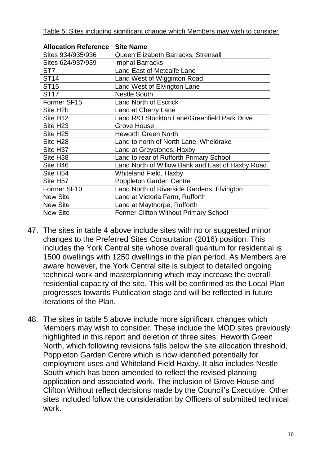Table 5: Sites including significant change which Members may wish to consider

| <b>Allocation Reference</b> | <b>Site Name</b>                                 |
|-----------------------------|--------------------------------------------------|
| Sites 934/935/936           | Queen Elizabeth Barracks, Strensall              |
| Sites 624/937/939           | <b>Imphal Barracks</b>                           |
| ST <sub>7</sub>             | Land East of Metcalfe Lane                       |
| <b>ST14</b>                 | Land West of Wigginton Road                      |
| <b>ST15</b>                 | Land West of Elvington Lane                      |
| <b>ST17</b>                 | <b>Nestle South</b>                              |
| Former SF15                 | <b>Land North of Escrick</b>                     |
| Site H <sub>2</sub> b       | Land at Cherry Lane                              |
| Site H <sub>12</sub>        | Land R/O Stockton Lane/Greenfield Park Drive     |
| Site H <sub>23</sub>        | Grove House                                      |
| Site H <sub>25</sub>        | <b>Heworth Green North</b>                       |
| Site H <sub>28</sub>        | Land to north of North Lane, Wheldrake           |
| Site H <sub>37</sub>        | Land at Greystones, Haxby                        |
| Site H <sub>38</sub>        | Land to rear of Rufforth Primary School          |
| Site H46                    | Land North of Willow Bank and East of Haxby Road |
| Site H54                    | <b>Whiteland Field, Haxby</b>                    |
| Site H57                    | <b>Poppleton Garden Centre</b>                   |
| Former SF10                 | Land North of Riverside Gardens, Elvington       |
| <b>New Site</b>             | Land at Victoria Farm, Rufforth                  |
| <b>New Site</b>             | Land at Maythorpe, Rufforth                      |
| <b>New Site</b>             | <b>Former Clifton Without Primary School</b>     |

- 47. The sites in table 4 above include sites with no or suggested minor changes to the Preferred Sites Consultation (2016) position. This includes the York Central site whose overall quantum for residential is 1500 dwellings with 1250 dwellings in the plan period. As Members are aware however, the York Central site is subject to detailed ongoing technical work and masterplanning which may increase the overall residential capacity of the site. This will be confirmed as the Local Plan progresses towards Publication stage and will be reflected in future iterations of the Plan.
- 48. The sites in table 5 above include more significant changes which Members may wish to consider. These include the MOD sites previously highlighted in this report and deletion of three sites; Heworth Green North, which following revisions falls below the site allocation threshold, Poppleton Garden Centre which is now identified potentially for employment uses and Whiteland Field Haxby. It also includes Nestle South which has been amended to reflect the revised planning application and associated work. The inclusion of Grove House and Clifton Without reflect decisions made by the Council's Executive. Other sites included follow the consideration by Officers of submitted technical work.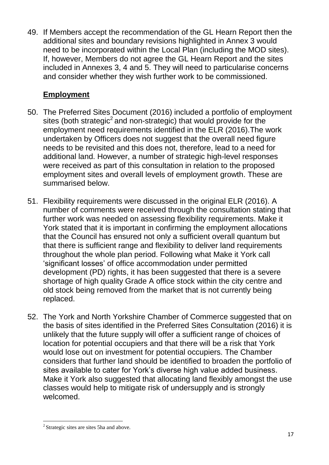49. If Members accept the recommendation of the GL Hearn Report then the additional sites and boundary revisions highlighted in Annex 3 would need to be incorporated within the Local Plan (including the MOD sites). If, however, Members do not agree the GL Hearn Report and the sites included in Annexes 3, 4 and 5. They will need to particularise concerns and consider whether they wish further work to be commissioned.

# **Employment**

- 50. The Preferred Sites Document (2016) included a portfolio of employment sites (both strategic<sup>2</sup> and non-strategic) that would provide for the employment need requirements identified in the ELR (2016).The work undertaken by Officers does not suggest that the overall need figure needs to be revisited and this does not, therefore, lead to a need for additional land. However, a number of strategic high-level responses were received as part of this consultation in relation to the proposed employment sites and overall levels of employment growth. These are summarised below.
- 51. Flexibility requirements were discussed in the original ELR (2016). A number of comments were received through the consultation stating that further work was needed on assessing flexibility requirements. Make it York stated that it is important in confirming the employment allocations that the Council has ensured not only a sufficient overall quantum but that there is sufficient range and flexibility to deliver land requirements throughout the whole plan period. Following what Make it York call 'significant losses' of office accommodation under permitted development (PD) rights, it has been suggested that there is a severe shortage of high quality Grade A office stock within the city centre and old stock being removed from the market that is not currently being replaced.
- 52. The York and North Yorkshire Chamber of Commerce suggested that on the basis of sites identified in the Preferred Sites Consultation (2016) it is unlikely that the future supply will offer a sufficient range of choices of location for potential occupiers and that there will be a risk that York would lose out on investment for potential occupiers. The Chamber considers that further land should be identified to broaden the portfolio of sites available to cater for York's diverse high value added business. Make it York also suggested that allocating land flexibly amongst the use classes would help to mitigate risk of undersupply and is strongly welcomed.

 $\overline{a}$ 

<sup>&</sup>lt;sup>2</sup> Strategic sites are sites 5ha and above.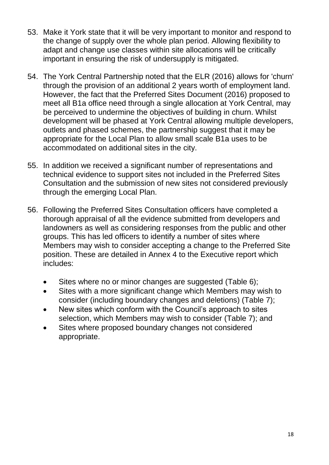- 53. Make it York state that it will be very important to monitor and respond to the change of supply over the whole plan period. Allowing flexibility to adapt and change use classes within site allocations will be critically important in ensuring the risk of undersupply is mitigated.
- 54. The York Central Partnership noted that the ELR (2016) allows for 'churn' through the provision of an additional 2 years worth of employment land. However, the fact that the Preferred Sites Document (2016) proposed to meet all B1a office need through a single allocation at York Central, may be perceived to undermine the objectives of building in churn. Whilst development will be phased at York Central allowing multiple developers, outlets and phased schemes, the partnership suggest that it may be appropriate for the Local Plan to allow small scale B1a uses to be accommodated on additional sites in the city.
- 55. In addition we received a significant number of representations and technical evidence to support sites not included in the Preferred Sites Consultation and the submission of new sites not considered previously through the emerging Local Plan.
- 56. Following the Preferred Sites Consultation officers have completed a thorough appraisal of all the evidence submitted from developers and landowners as well as considering responses from the public and other groups. This has led officers to identify a number of sites where Members may wish to consider accepting a change to the Preferred Site position. These are detailed in Annex 4 to the Executive report which includes:
	- Sites where no or minor changes are suggested (Table 6);
	- Sites with a more significant change which Members may wish to consider (including boundary changes and deletions) (Table 7);
	- New sites which conform with the Council's approach to sites selection, which Members may wish to consider (Table 7); and
	- Sites where proposed boundary changes not considered appropriate.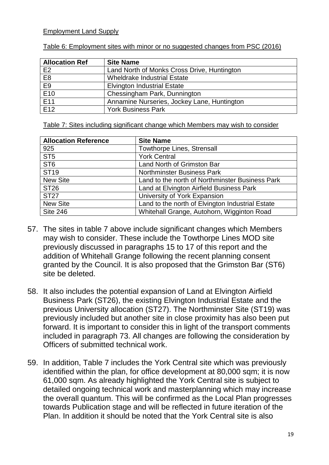#### Employment Land Supply

| <b>Allocation Ref</b> | <b>Site Name</b>                            |
|-----------------------|---------------------------------------------|
| E <sub>2</sub>        | Land North of Monks Cross Drive, Huntington |
| E <sub>8</sub>        | <b>Wheldrake Industrial Estate</b>          |
| E9                    | <b>Elvington Industrial Estate</b>          |
| E <sub>10</sub>       | Chessingham Park, Dunnington                |
| E11                   | Annamine Nurseries, Jockey Lane, Huntington |
| E <sub>12</sub>       | <b>York Business Park</b>                   |

Table 6: Employment sites with minor or no suggested changes from PSC (2016)

Table 7: Sites including significant change which Members may wish to consider

| <b>Allocation Reference</b> | <b>Site Name</b>                                 |
|-----------------------------|--------------------------------------------------|
| 925                         | <b>Towthorpe Lines, Strensall</b>                |
| ST <sub>5</sub>             | <b>York Central</b>                              |
| ST <sub>6</sub>             | Land North of Grimston Bar                       |
| <b>ST19</b>                 | <b>Northminster Business Park</b>                |
| <b>New Site</b>             | Land to the north of Northminster Business Park  |
| <b>ST26</b>                 | Land at Elvington Airfield Business Park         |
| <b>ST27</b>                 | University of York Expansion                     |
| <b>New Site</b>             | Land to the north of Elvington Industrial Estate |
| <b>Site 246</b>             | Whitehall Grange, Autohorn, Wigginton Road       |

- 57. The sites in table 7 above include significant changes which Members may wish to consider. These include the Towthorpe Lines MOD site previously discussed in paragraphs 15 to 17 of this report and the addition of Whitehall Grange following the recent planning consent granted by the Council. It is also proposed that the Grimston Bar (ST6) site be deleted.
- 58. It also includes the potential expansion of Land at Elvington Airfield Business Park (ST26), the existing Elvington Industrial Estate and the previous University allocation (ST27). The Northminster Site (ST19) was previously included but another site in close proximity has also been put forward. It is important to consider this in light of the transport comments included in paragraph 73. All changes are following the consideration by Officers of submitted technical work.
- 59. In addition, Table 7 includes the York Central site which was previously identified within the plan, for office development at 80,000 sqm; it is now 61,000 sqm. As already highlighted the York Central site is subject to detailed ongoing technical work and masterplanning which may increase the overall quantum. This will be confirmed as the Local Plan progresses towards Publication stage and will be reflected in future iteration of the Plan. In addition it should be noted that the York Central site is also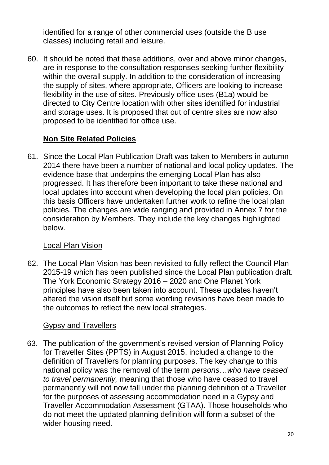identified for a range of other commercial uses (outside the B use classes) including retail and leisure.

60. It should be noted that these additions, over and above minor changes, are in response to the consultation responses seeking further flexibility within the overall supply. In addition to the consideration of increasing the supply of sites, where appropriate, Officers are looking to increase flexibility in the use of sites. Previously office uses (B1a) would be directed to City Centre location with other sites identified for industrial and storage uses. It is proposed that out of centre sites are now also proposed to be identified for office use.

#### **Non Site Related Policies**

61. Since the Local Plan Publication Draft was taken to Members in autumn 2014 there have been a number of national and local policy updates. The evidence base that underpins the emerging Local Plan has also progressed. It has therefore been important to take these national and local updates into account when developing the local plan policies. On this basis Officers have undertaken further work to refine the local plan policies. The changes are wide ranging and provided in Annex 7 for the consideration by Members. They include the key changes highlighted below.

#### Local Plan Vision

62. The Local Plan Vision has been revisited to fully reflect the Council Plan 2015-19 which has been published since the Local Plan publication draft. The York Economic Strategy 2016 – 2020 and One Planet York principles have also been taken into account. These updates haven't altered the vision itself but some wording revisions have been made to the outcomes to reflect the new local strategies.

#### Gypsy and Travellers

63. The publication of the government's revised version of Planning Policy for Traveller Sites (PPTS) in August 2015, included a change to the definition of Travellers for planning purposes. The key change to this national policy was the removal of the term *persons*…*who have ceased to travel permanently,* meaning that those who have ceased to travel permanently will not now fall under the planning definition of a Traveller for the purposes of assessing accommodation need in a Gypsy and Traveller Accommodation Assessment (GTAA). Those households who do not meet the updated planning definition will form a subset of the wider housing need.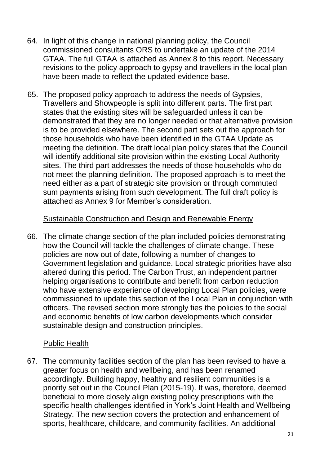- 64. In light of this change in national planning policy, the Council commissioned consultants ORS to undertake an update of the 2014 GTAA. The full GTAA is attached as Annex 8 to this report. Necessary revisions to the policy approach to gypsy and travellers in the local plan have been made to reflect the updated evidence base.
- 65. The proposed policy approach to address the needs of Gypsies, Travellers and Showpeople is split into different parts. The first part states that the existing sites will be safeguarded unless it can be demonstrated that they are no longer needed or that alternative provision is to be provided elsewhere. The second part sets out the approach for those households who have been identified in the GTAA Update as meeting the definition. The draft local plan policy states that the Council will identify additional site provision within the existing Local Authority sites. The third part addresses the needs of those households who do not meet the planning definition. The proposed approach is to meet the need either as a part of strategic site provision or through commuted sum payments arising from such development. The full draft policy is attached as Annex 9 for Member's consideration.

#### Sustainable Construction and Design and Renewable Energy

66. The climate change section of the plan included policies demonstrating how the Council will tackle the challenges of climate change. These policies are now out of date, following a number of changes to Government legislation and guidance. Local strategic priorities have also altered during this period. The Carbon Trust, an independent partner helping organisations to contribute and benefit from carbon reduction who have extensive experience of developing Local Plan policies, were commissioned to update this section of the Local Plan in conjunction with officers. The revised section more strongly ties the policies to the social and economic benefits of low carbon developments which consider sustainable design and construction principles.

#### Public Health

67. The community facilities section of the plan has been revised to have a greater focus on health and wellbeing, and has been renamed accordingly. Building happy, healthy and resilient communities is a priority set out in the Council Plan (2015-19). It was, therefore, deemed beneficial to more closely align existing policy prescriptions with the specific health challenges identified in York's Joint Health and Wellbeing Strategy. The new section covers the protection and enhancement of sports, healthcare, childcare, and community facilities. An additional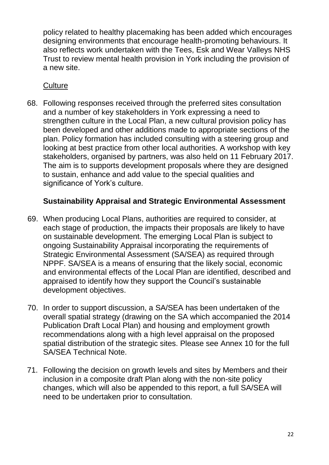policy related to healthy placemaking has been added which encourages designing environments that encourage health-promoting behaviours. It also reflects work undertaken with the Tees, Esk and Wear Valleys NHS Trust to review mental health provision in York including the provision of a new site.

#### **Culture**

68. Following responses received through the preferred sites consultation and a number of key stakeholders in York expressing a need to strengthen culture in the Local Plan, a new cultural provision policy has been developed and other additions made to appropriate sections of the plan. Policy formation has included consulting with a steering group and looking at best practice from other local authorities. A workshop with key stakeholders, organised by partners, was also held on 11 February 2017. The aim is to supports development proposals where they are designed to sustain, enhance and add value to the special qualities and significance of York's culture.

# **Sustainability Appraisal and Strategic Environmental Assessment**

- 69. When producing Local Plans, authorities are required to consider, at each stage of production, the impacts their proposals are likely to have on sustainable development. The emerging Local Plan is subject to ongoing Sustainability Appraisal incorporating the requirements of Strategic Environmental Assessment (SA/SEA) as required through NPPF. SA/SEA is a means of ensuring that the likely social, economic and environmental effects of the Local Plan are identified, described and appraised to identify how they support the Council's sustainable development objectives.
- 70. In order to support discussion, a SA/SEA has been undertaken of the overall spatial strategy (drawing on the SA which accompanied the 2014 Publication Draft Local Plan) and housing and employment growth recommendations along with a high level appraisal on the proposed spatial distribution of the strategic sites. Please see Annex 10 for the full SA/SEA Technical Note.
- 71. Following the decision on growth levels and sites by Members and their inclusion in a composite draft Plan along with the non-site policy changes, which will also be appended to this report, a full SA/SEA will need to be undertaken prior to consultation.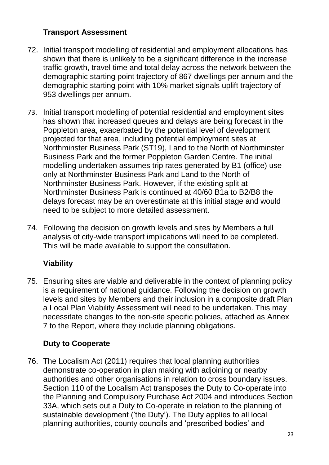# **Transport Assessment**

- 72. Initial transport modelling of residential and employment allocations has shown that there is unlikely to be a significant difference in the increase traffic growth, travel time and total delay across the network between the demographic starting point trajectory of 867 dwellings per annum and the demographic starting point with 10% market signals uplift trajectory of 953 dwellings per annum.
- 73. Initial transport modelling of potential residential and employment sites has shown that increased queues and delays are being forecast in the Poppleton area, exacerbated by the potential level of development projected for that area, including potential employment sites at Northminster Business Park (ST19), Land to the North of Northminster Business Park and the former Poppleton Garden Centre. The initial modelling undertaken assumes trip rates generated by B1 (office) use only at Northminster Business Park and Land to the North of Northminster Business Park. However, if the existing split at Northminster Business Park is continued at 40/60 B1a to B2/B8 the delays forecast may be an overestimate at this initial stage and would need to be subject to more detailed assessment.
- 74. Following the decision on growth levels and sites by Members a full analysis of city-wide transport implications will need to be completed. This will be made available to support the consultation.

# **Viability**

75. Ensuring sites are viable and deliverable in the context of planning policy is a requirement of national guidance. Following the decision on growth levels and sites by Members and their inclusion in a composite draft Plan a Local Plan Viability Assessment will need to be undertaken. This may necessitate changes to the non-site specific policies, attached as Annex 7 to the Report, where they include planning obligations.

# **Duty to Cooperate**

76. The Localism Act (2011) requires that local planning authorities demonstrate co-operation in plan making with adjoining or nearby authorities and other organisations in relation to cross boundary issues. Section 110 of the Localism Act transposes the Duty to Co-operate into the Planning and Compulsory Purchase Act 2004 and introduces Section 33A, which sets out a Duty to Co-operate in relation to the planning of sustainable development ('the Duty'). The Duty applies to all local planning authorities, county councils and 'prescribed bodies' and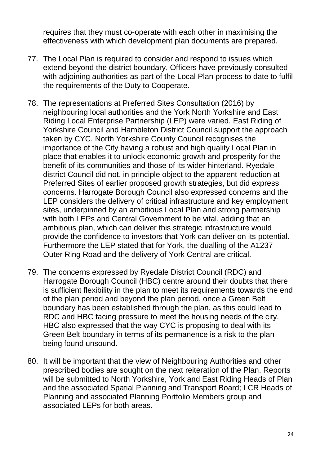requires that they must co-operate with each other in maximising the effectiveness with which development plan documents are prepared.

- 77. The Local Plan is required to consider and respond to issues which extend beyond the district boundary. Officers have previously consulted with adioining authorities as part of the Local Plan process to date to fulfil the requirements of the Duty to Cooperate.
- 78. The representations at Preferred Sites Consultation (2016) by neighbouring local authorities and the York North Yorkshire and East Riding Local Enterprise Partnership (LEP) were varied. East Riding of Yorkshire Council and Hambleton District Council support the approach taken by CYC. North Yorkshire County Council recognises the importance of the City having a robust and high quality Local Plan in place that enables it to unlock economic growth and prosperity for the benefit of its communities and those of its wider hinterland. Ryedale district Council did not, in principle object to the apparent reduction at Preferred Sites of earlier proposed growth strategies, but did express concerns. Harrogate Borough Council also expressed concerns and the LEP considers the delivery of critical infrastructure and key employment sites, underpinned by an ambitious Local Plan and strong partnership with both LEPs and Central Government to be vital, adding that an ambitious plan, which can deliver this strategic infrastructure would provide the confidence to investors that York can deliver on its potential. Furthermore the LEP stated that for York, the dualling of the A1237 Outer Ring Road and the delivery of York Central are critical.
- 79. The concerns expressed by Ryedale District Council (RDC) and Harrogate Borough Council (HBC) centre around their doubts that there is sufficient flexibility in the plan to meet its requirements towards the end of the plan period and beyond the plan period, once a Green Belt boundary has been established through the plan, as this could lead to RDC and HBC facing pressure to meet the housing needs of the city. HBC also expressed that the way CYC is proposing to deal with its Green Belt boundary in terms of its permanence is a risk to the plan being found unsound.
- 80. It will be important that the view of Neighbouring Authorities and other prescribed bodies are sought on the next reiteration of the Plan. Reports will be submitted to North Yorkshire, York and East Riding Heads of Plan and the associated Spatial Planning and Transport Board; LCR Heads of Planning and associated Planning Portfolio Members group and associated LEPs for both areas.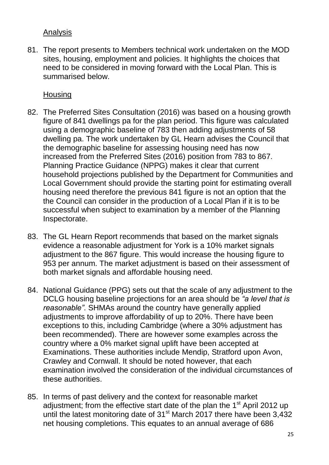#### Analysis

81. The report presents to Members technical work undertaken on the MOD sites, housing, employment and policies. It highlights the choices that need to be considered in moving forward with the Local Plan. This is summarised below.

#### **Housing**

- 82. The Preferred Sites Consultation (2016) was based on a housing growth figure of 841 dwellings pa for the plan period. This figure was calculated using a demographic baseline of 783 then adding adjustments of 58 dwelling pa. The work undertaken by GL Hearn advises the Council that the demographic baseline for assessing housing need has now increased from the Preferred Sites (2016) position from 783 to 867. Planning Practice Guidance (NPPG) makes it clear that current household projections published by the Department for Communities and Local Government should provide the starting point for estimating overall housing need therefore the previous 841 figure is not an option that the the Council can consider in the production of a Local Plan if it is to be successful when subject to examination by a member of the Planning Inspectorate.
- 83. The GL Hearn Report recommends that based on the market signals evidence a reasonable adjustment for York is a 10% market signals adjustment to the 867 figure. This would increase the housing figure to 953 per annum. The market adjustment is based on their assessment of both market signals and affordable housing need.
- 84. National Guidance (PPG) sets out that the scale of any adjustment to the DCLG housing baseline projections for an area should be *"a level that is reasonable"*. SHMAs around the country have generally applied adjustments to improve affordability of up to 20%. There have been exceptions to this, including Cambridge (where a 30% adjustment has been recommended). There are however some examples across the country where a 0% market signal uplift have been accepted at Examinations. These authorities include Mendip, Stratford upon Avon, Crawley and Cornwall. It should be noted however, that each examination involved the consideration of the individual circumstances of these authorities.
- 85. In terms of past delivery and the context for reasonable market adjustment; from the effective start date of the plan the  $1<sup>st</sup>$  April 2012 up until the latest monitoring date of 31<sup>st</sup> March 2017 there have been 3,432 net housing completions. This equates to an annual average of 686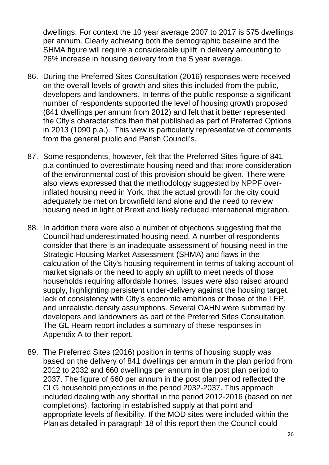dwellings. For context the 10 year average 2007 to 2017 is 575 dwellings per annum. Clearly achieving both the demographic baseline and the SHMA figure will require a considerable uplift in delivery amounting to 26% increase in housing delivery from the 5 year average.

- 86. During the Preferred Sites Consultation (2016) responses were received on the overall levels of growth and sites this included from the public, developers and landowners. In terms of the public response a significant number of respondents supported the level of housing growth proposed (841 dwellings per annum from 2012) and felt that it better represented the City's characteristics than that published as part of Preferred Options in 2013 (1090 p.a.). This view is particularly representative of comments from the general public and Parish Council's.
- 87. Some respondents, however, felt that the Preferred Sites figure of 841 p.a continued to overestimate housing need and that more consideration of the environmental cost of this provision should be given. There were also views expressed that the methodology suggested by NPPF overinflated housing need in York, that the actual growth for the city could adequately be met on brownfield land alone and the need to review housing need in light of Brexit and likely reduced international migration.
- 88. In addition there were also a number of objections suggesting that the Council had underestimated housing need. A number of respondents consider that there is an inadequate assessment of housing need in the Strategic Housing Market Assessment (SHMA) and flaws in the calculation of the City's housing requirement in terms of taking account of market signals or the need to apply an uplift to meet needs of those households requiring affordable homes. Issues were also raised around supply, highlighting persistent under-delivery against the housing target, lack of consistency with City's economic ambitions or those of the LEP, and unrealistic density assumptions. Several OAHN were submitted by developers and landowners as part of the Preferred Sites Consultation. The GL Hearn report includes a summary of these responses in Appendix A to their report.
- 89. The Preferred Sites (2016) position in terms of housing supply was based on the delivery of 841 dwellings per annum in the plan period from 2012 to 2032 and 660 dwellings per annum in the post plan period to 2037. The figure of 660 per annum in the post plan period reflected the CLG household projections in the period 2032-2037. This approach included dealing with any shortfall in the period 2012-2016 (based on net completions), factoring in established supply at that point and appropriate levels of flexibility. If the MOD sites were included within the Plan as detailed in paragraph 18 of this report then the Council could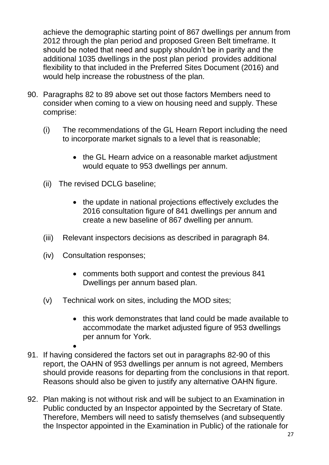achieve the demographic starting point of 867 dwellings per annum from 2012 through the plan period and proposed Green Belt timeframe. It should be noted that need and supply shouldn't be in parity and the additional 1035 dwellings in the post plan period provides additional flexibility to that included in the Preferred Sites Document (2016) and would help increase the robustness of the plan.

- 90. Paragraphs 82 to 89 above set out those factors Members need to consider when coming to a view on housing need and supply. These comprise:
	- (i) The recommendations of the GL Hearn Report including the need to incorporate market signals to a level that is reasonable;
		- the GL Hearn advice on a reasonable market adjustment would equate to 953 dwellings per annum.
	- (ii) The revised DCLG baseline;
		- the update in national projections effectively excludes the 2016 consultation figure of 841 dwellings per annum and create a new baseline of 867 dwelling per annum.
	- (iii) Relevant inspectors decisions as described in paragraph 84.
	- (iv) Consultation responses;
		- comments both support and contest the previous 841 Dwellings per annum based plan.
	- (v) Technical work on sites, including the MOD sites;
		- this work demonstrates that land could be made available to accommodate the market adjusted figure of 953 dwellings per annum for York.
- $\bullet$ 91. If having considered the factors set out in paragraphs 82-90 of this report, the OAHN of 953 dwellings per annum is not agreed, Members should provide reasons for departing from the conclusions in that report. Reasons should also be given to justify any alternative OAHN figure.
- 92. Plan making is not without risk and will be subject to an Examination in Public conducted by an Inspector appointed by the Secretary of State. Therefore, Members will need to satisfy themselves (and subsequently the Inspector appointed in the Examination in Public) of the rationale for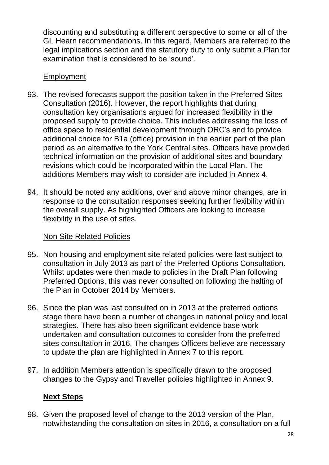discounting and substituting a different perspective to some or all of the GL Hearn recommendations. In this regard, Members are referred to the legal implications section and the statutory duty to only submit a Plan for examination that is considered to be 'sound'.

#### **Employment**

- 93. The revised forecasts support the position taken in the Preferred Sites Consultation (2016). However, the report highlights that during consultation key organisations argued for increased flexibility in the proposed supply to provide choice. This includes addressing the loss of office space to residential development through ORC's and to provide additional choice for B1a (office) provision in the earlier part of the plan period as an alternative to the York Central sites. Officers have provided technical information on the provision of additional sites and boundary revisions which could be incorporated within the Local Plan. The additions Members may wish to consider are included in Annex 4.
- 94. It should be noted any additions, over and above minor changes, are in response to the consultation responses seeking further flexibility within the overall supply. As highlighted Officers are looking to increase flexibility in the use of sites.

# Non Site Related Policies

- 95. Non housing and employment site related policies were last subject to consultation in July 2013 as part of the Preferred Options Consultation. Whilst updates were then made to policies in the Draft Plan following Preferred Options, this was never consulted on following the halting of the Plan in October 2014 by Members.
- 96. Since the plan was last consulted on in 2013 at the preferred options stage there have been a number of changes in national policy and local strategies. There has also been significant evidence base work undertaken and consultation outcomes to consider from the preferred sites consultation in 2016. The changes Officers believe are necessary to update the plan are highlighted in Annex 7 to this report.
- 97. In addition Members attention is specifically drawn to the proposed changes to the Gypsy and Traveller policies highlighted in Annex 9.

# **Next Steps**

98. Given the proposed level of change to the 2013 version of the Plan, notwithstanding the consultation on sites in 2016, a consultation on a full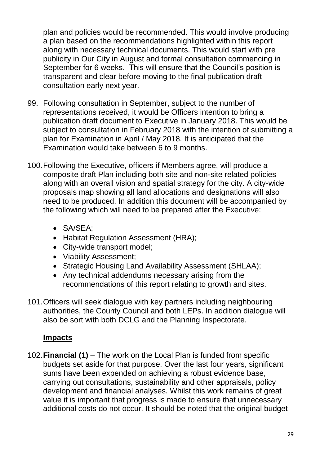plan and policies would be recommended. This would involve producing a plan based on the recommendations highlighted within this report along with necessary technical documents. This would start with pre publicity in Our City in August and formal consultation commencing in September for 6 weeks. This will ensure that the Council's position is transparent and clear before moving to the final publication draft consultation early next year.

- 99. Following consultation in September, subject to the number of representations received, it would be Officers intention to bring a publication draft document to Executive in January 2018. This would be subject to consultation in February 2018 with the intention of submitting a plan for Examination in April / May 2018. It is anticipated that the Examination would take between 6 to 9 months.
- 100.Following the Executive, officers if Members agree, will produce a composite draft Plan including both site and non-site related policies along with an overall vision and spatial strategy for the city. A city-wide proposals map showing all land allocations and designations will also need to be produced. In addition this document will be accompanied by the following which will need to be prepared after the Executive:
	- SA/SEA;
	- Habitat Regulation Assessment (HRA);
	- City-wide transport model;
	- Viability Assessment;
	- Strategic Housing Land Availability Assessment (SHLAA);
	- Any technical addendums necessary arising from the recommendations of this report relating to growth and sites.
- 101.Officers will seek dialogue with key partners including neighbouring authorities, the County Council and both LEPs. In addition dialogue will also be sort with both DCLG and the Planning Inspectorate.

# **Impacts**

102.**Financial (1)** – The work on the Local Plan is funded from specific budgets set aside for that purpose. Over the last four years, significant sums have been expended on achieving a robust evidence base, carrying out consultations, sustainability and other appraisals, policy development and financial analyses. Whilst this work remains of great value it is important that progress is made to ensure that unnecessary additional costs do not occur. It should be noted that the original budget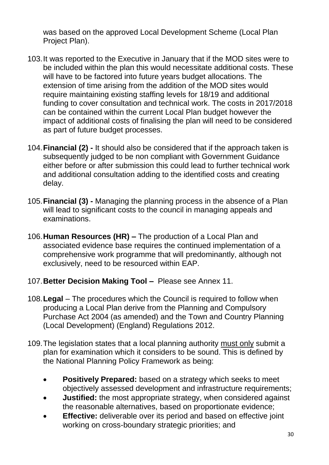was based on the approved Local Development Scheme (Local Plan Project Plan).

- 103.It was reported to the Executive in January that if the MOD sites were to be included within the plan this would necessitate additional costs. These will have to be factored into future years budget allocations. The extension of time arising from the addition of the MOD sites would require maintaining existing staffing levels for 18/19 and additional funding to cover consultation and technical work. The costs in 2017/2018 can be contained within the current Local Plan budget however the impact of additional costs of finalising the plan will need to be considered as part of future budget processes.
- 104.**Financial (2) -** It should also be considered that if the approach taken is subsequently judged to be non compliant with Government Guidance either before or after submission this could lead to further technical work and additional consultation adding to the identified costs and creating delay.
- 105.**Financial (3) -** Managing the planning process in the absence of a Plan will lead to significant costs to the council in managing appeals and examinations.
- 106.**Human Resources (HR) –** The production of a Local Plan and associated evidence base requires the continued implementation of a comprehensive work programme that will predominantly, although not exclusively, need to be resourced within EAP.
- 107.**Better Decision Making Tool** Please see Annex 11.
- 108.**Legal** *–* The procedures which the Council is required to follow when producing a Local Plan derive from the Planning and Compulsory Purchase Act 2004 (as amended) and the Town and Country Planning (Local Development) (England) Regulations 2012.
- 109.The legislation states that a local planning authority must only submit a plan for examination which it considers to be sound. This is defined by the National Planning Policy Framework as being:
	- **Positively Prepared:** based on a strategy which seeks to meet objectively assessed development and infrastructure requirements;
	- **Justified:** the most appropriate strategy, when considered against the reasonable alternatives, based on proportionate evidence;
	- **Effective:** deliverable over its period and based on effective joint working on cross-boundary strategic priorities; and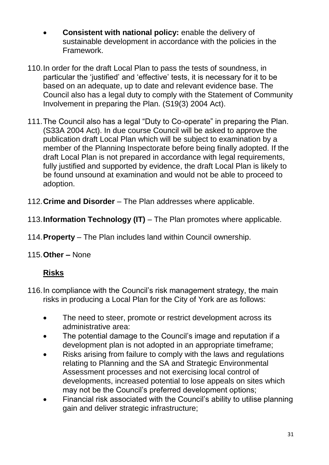- **Consistent with national policy:** enable the delivery of sustainable development in accordance with the policies in the Framework.
- 110.In order for the draft Local Plan to pass the tests of soundness, in particular the 'justified' and 'effective' tests, it is necessary for it to be based on an adequate, up to date and relevant evidence base. The Council also has a legal duty to comply with the Statement of Community Involvement in preparing the Plan. (S19(3) 2004 Act).
- 111.The Council also has a legal "Duty to Co-operate" in preparing the Plan. (S33A 2004 Act). In due course Council will be asked to approve the publication draft Local Plan which will be subject to examination by a member of the Planning Inspectorate before being finally adopted. If the draft Local Plan is not prepared in accordance with legal requirements, fully justified and supported by evidence, the draft Local Plan is likely to be found unsound at examination and would not be able to proceed to adoption.
- 112.**Crime and Disorder**  The Plan addresses where applicable.
- 113.**Information Technology (IT)**  The Plan promotes where applicable.
- 114.**Property**  The Plan includes land within Council ownership.
- 115.**Other –** None

# **Risks**

- 116.In compliance with the Council's risk management strategy, the main risks in producing a Local Plan for the City of York are as follows:
	- The need to steer, promote or restrict development across its administrative area:
	- The potential damage to the Council's image and reputation if a development plan is not adopted in an appropriate timeframe;
	- Risks arising from failure to comply with the laws and regulations relating to Planning and the SA and Strategic Environmental Assessment processes and not exercising local control of developments, increased potential to lose appeals on sites which may not be the Council's preferred development options;
	- Financial risk associated with the Council's ability to utilise planning gain and deliver strategic infrastructure;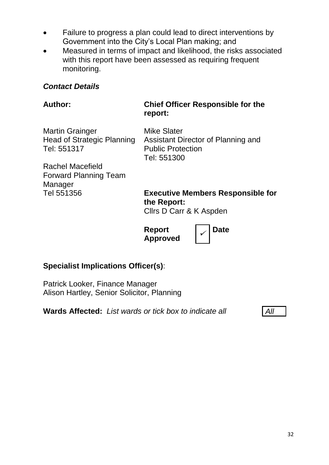- Failure to progress a plan could lead to direct interventions by Government into the City's Local Plan making; and
- Measured in terms of impact and likelihood, the risks associated with this report have been assessed as requiring frequent monitoring.

#### *Contact Details*

#### **Author: Chief Officer Responsible for the report:**

Martin Grainger Head of Strategic Planning Tel: 551317

Mike Slater Assistant Director of Planning and Public Protection Tel: 551300

Rachel Macefield Forward Planning Team Manager Tel 551356

**Executive Members Responsible for the Report:** Cllrs D Carr & K Aspden

**Report Approved**

**Date**

# **Specialist Implications Officer(s)**:

Patrick Looker, Finance Manager Alison Hartley, Senior Solicitor, Planning

**Wards Affected:** *List wards or tick box to indicate all All*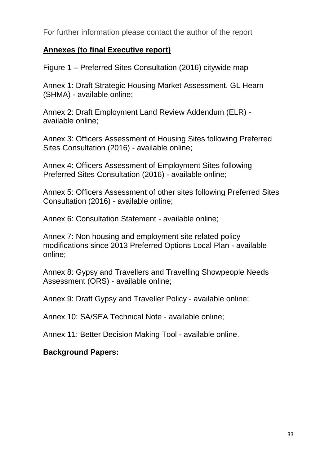For further information please contact the author of the report

#### **Annexes (to final Executive report)**

Figure 1 – Preferred Sites Consultation (2016) citywide map

Annex 1: Draft Strategic Housing Market Assessment, GL Hearn (SHMA) - available online;

Annex 2: Draft Employment Land Review Addendum (ELR) available online;

Annex 3: Officers Assessment of Housing Sites following Preferred Sites Consultation (2016) - available online;

Annex 4: Officers Assessment of Employment Sites following Preferred Sites Consultation (2016) - available online;

Annex 5: Officers Assessment of other sites following Preferred Sites Consultation (2016) - available online;

Annex 6: Consultation Statement - available online;

Annex 7: Non housing and employment site related policy modifications since 2013 Preferred Options Local Plan - available online;

Annex 8: Gypsy and Travellers and Travelling Showpeople Needs Assessment (ORS) - available online;

Annex 9: Draft Gypsy and Traveller Policy - available online;

Annex 10: SA/SEA Technical Note - available online;

Annex 11: Better Decision Making Tool - available online.

#### **Background Papers:**